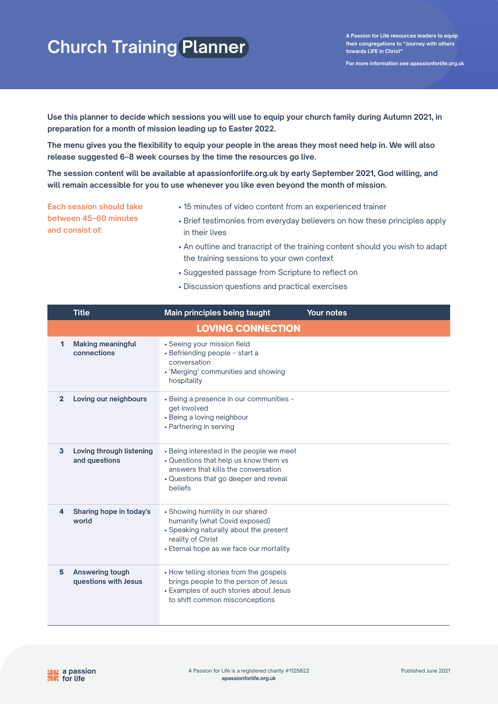**For more information see apassionforlife.org.uk**

**Use this planner to decide which sessions you will use to equip your church family during Autumn 2021, in preparation for a month of mission leading up to Easter 2022.** 

**The menu gives you the flexibility to equip your people in the areas they most need help in. We will also release suggested 6–8 week courses by the time the resources go live.**

**The session content will be available at apassionforlife.org.uk by early September 2021, God willing, and will remain accessible for you to use whenever you like even beyond the month of mission.**

**Each session should take between 45–60 minutes and consist of:**

- 15 minutes of video content from an experienced trainer
- Brief testimonies from everyday believers on how these principles apply in their lives
- An outline and transcript of the training content should you wish to adapt the training sessions to your own context
- Suggested passage from Scripture to reflect on
- Discussion questions and practical exercises

|                | <b>Title</b>                              | Main principles being taught                                                                                                                                                 | <b>Your notes</b> |  |  |
|----------------|-------------------------------------------|------------------------------------------------------------------------------------------------------------------------------------------------------------------------------|-------------------|--|--|
|                | <b>LOVING CONNECTION</b>                  |                                                                                                                                                                              |                   |  |  |
| 1              | <b>Making meaningful</b><br>connections   | • Seeing your mission field<br>• Befriending people - start a<br>conversation<br>• 'Merging' communities and showing<br>hospitality                                          |                   |  |  |
| $\overline{2}$ | Loving our neighbours                     | - Being a presence in our communities -<br>get involved<br>• Being a loving neighbour<br>• Partnering in serving                                                             |                   |  |  |
| 3              | Loving through listening<br>and questions | • Being interested in the people we meet<br>• Questions that help us know them vs<br>answers that kills the conversation<br>• Questions that go deeper and reveal<br>beliefs |                   |  |  |
| 4              | Sharing hope in today's<br>world          | • Showing humility in our shared<br>humanity (what Covid exposed)<br>• Speaking naturally about the present<br>reality of Christ<br>• Eternal hope as we face our mortality  |                   |  |  |
| 5              | Answering tough<br>questions with Jesus   | • How telling stories from the gospels<br>brings people to the person of Jesus<br>• Examples of such stories about Jesus<br>to shift common misconceptions                   |                   |  |  |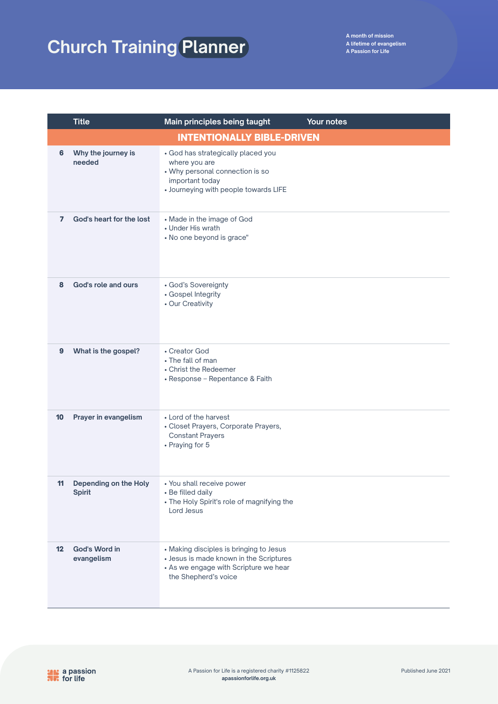|                   | <b>Title</b>                           | Main principles being taught                                                                                                                        | Your notes |  |  |
|-------------------|----------------------------------------|-----------------------------------------------------------------------------------------------------------------------------------------------------|------------|--|--|
|                   | <b>INTENTIONALLY BIBLE-DRIVEN</b>      |                                                                                                                                                     |            |  |  |
| 6                 | Why the journey is<br>needed           | • God has strategically placed you<br>where you are<br>• Why personal connection is so<br>important today<br>• Journeying with people towards LIFE  |            |  |  |
| $\overline{7}$    | God's heart for the lost               | • Made in the image of God<br>• Under His wrath<br>• No one beyond is grace"                                                                        |            |  |  |
| 8                 | God's role and ours                    | • God's Sovereignty<br>• Gospel Integrity<br>• Our Creativity                                                                                       |            |  |  |
| $\boldsymbol{9}$  | What is the gospel?                    | • Creator God<br>• The fall of man<br>• Christ the Redeemer<br>• Response - Repentance & Faith                                                      |            |  |  |
| 10                | Prayer in evangelism                   | • Lord of the harvest<br>• Closet Prayers, Corporate Prayers,<br><b>Constant Prayers</b><br>• Praying for 5                                         |            |  |  |
| 11                | Depending on the Holy<br><b>Spirit</b> | • You shall receive power<br>• Be filled daily<br>• The Holy Spirit's role of magnifying the<br>Lord Jesus                                          |            |  |  |
| $12 \overline{ }$ | God's Word in<br>evangelism            | • Making disciples is bringing to Jesus<br>• Jesus is made known in the Scriptures<br>• As we engage with Scripture we hear<br>the Shepherd's voice |            |  |  |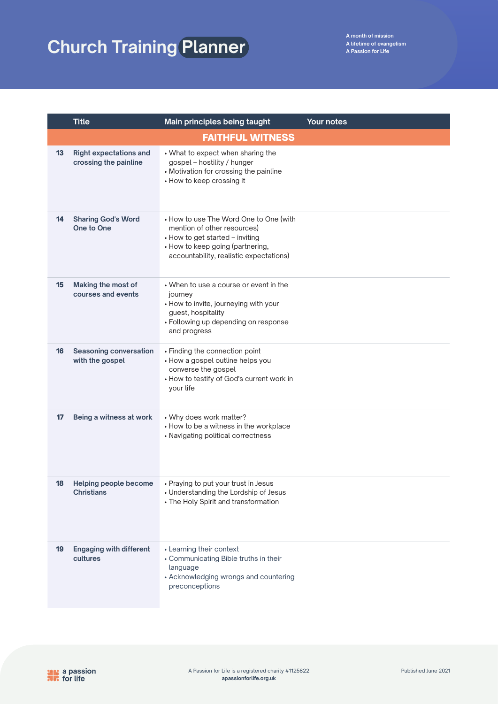|    | <b>Title</b>                                           | Main principles being taught                                                                                                                                                            | Your notes |
|----|--------------------------------------------------------|-----------------------------------------------------------------------------------------------------------------------------------------------------------------------------------------|------------|
|    |                                                        | <b>FAITHFUL WITNESS</b>                                                                                                                                                                 |            |
| 13 | <b>Right expectations and</b><br>crossing the painline | • What to expect when sharing the<br>gospel - hostility / hunger<br>• Motivation for crossing the painline<br>• How to keep crossing it                                                 |            |
| 14 | <b>Sharing God's Word</b><br>One to One                | • How to use The Word One to One (with<br>mention of other resources)<br>• How to get started - inviting<br>• How to keep going (partnering,<br>accountability, realistic expectations) |            |
| 15 | Making the most of<br>courses and events               | • When to use a course or event in the<br>journey<br>• How to invite, journeying with your<br>guest, hospitality<br>• Following up depending on response<br>and progress                |            |
| 16 | <b>Seasoning conversation</b><br>with the gospel       | • Finding the connection point<br>• How a gospel outline helps you<br>converse the gospel<br>• How to testify of God's current work in<br>your life                                     |            |
| 17 | Being a witness at work                                | • Why does work matter?<br>• How to be a witness in the workplace<br>• Navigating political correctness                                                                                 |            |
| 18 | Helping people become<br>Christians                    | • Praying to put your trust in Jesus<br>• Understanding the Lordship of Jesus<br>• The Holy Spirit and transformation                                                                   |            |
| 19 | <b>Engaging with different</b><br>cultures             | • Learning their context<br>• Communicating Bible truths in their<br>language<br>• Acknowledging wrongs and countering<br>preconceptions                                                |            |